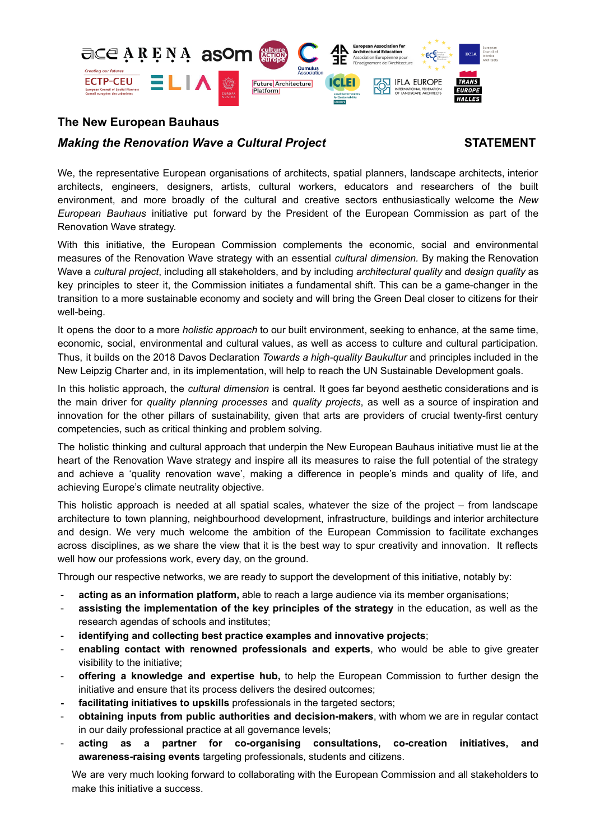

# **The New European Bauhaus**

## *Making the Renovation Wave a Cultural Project* **STATEMENT**

We, the representative European organisations of architects, spatial planners, landscape architects, interior architects, engineers, designers, artists, cultural workers, educators and researchers of the built environment, and more broadly of the cultural and creative sectors enthusiastically welcome the *New European Bauhaus* initiative put forward by the President of the European Commission as part of the Renovation Wave strategy.

With this initiative, the European Commission complements the economic, social and environmental measures of the Renovation Wave strategy with an essential *cultural dimension.* By making the Renovation Wave a *cultural project*, including all stakeholders, and by including *architectural quality* and *design quality* as key principles to steer it, the Commission initiates a fundamental shift. This can be a game-changer in the transition to a more sustainable economy and society and will bring the Green Deal closer to citizens for their well-being.

It opens the door to a more *holistic approach* to our built environment, seeking to enhance, at the same time, economic, social, environmental and cultural values, as well as access to culture and cultural participation. Thus, it builds on the 2018 Davos Declaration *Towards a high-quality Baukultur* and principles included in the New Leipzig Charter and, in its implementation, will help to reach the UN Sustainable Development goals.

In this holistic approach, the *cultural dimension* is central. It goes far beyond aesthetic considerations and is the main driver for *quality planning processes* and *quality projects*, as well as a source of inspiration and innovation for the other pillars of sustainability, given that arts are providers of crucial twenty-first century competencies, such as critical thinking and problem solving.

The holistic thinking and cultural approach that underpin the New European Bauhaus initiative must lie at the heart of the Renovation Wave strategy and inspire all its measures to raise the full potential of the strategy and achieve a 'quality renovation wave', making a difference in people's minds and quality of life, and achieving Europe's climate neutrality objective.

This holistic approach is needed at all spatial scales, whatever the size of the project – from landscape architecture to town planning, neighbourhood development, infrastructure, buildings and interior architecture and design. We very much welcome the ambition of the European Commission to facilitate exchanges across disciplines, as we share the view that it is the best way to spur creativity and innovation. It reflects well how our professions work, every day, on the ground.

Through our respective networks, we are ready to support the development of this initiative, notably by:

- **acting as an information platform,** able to reach a large audience via its member organisations;
- **assisting the implementation of the key principles of the strategy** in the education, as well as the research agendas of schools and institutes;
- **identifying and collecting best practice examples and innovative projects**;
- **enabling contact with renowned professionals and experts**, who would be able to give greater visibility to the initiative;
- **offering a knowledge and expertise hub,** to help the European Commission to further design the initiative and ensure that its process delivers the desired outcomes;
- **- facilitating initiatives to upskills** professionals in the targeted sectors;
- **obtaining inputs from public authorities and decision-makers**, with whom we are in regular contact in our daily professional practice at all governance levels;
- **acting as a partner for co-organising consultations, co-creation initiatives, and awareness-raising events** targeting professionals, students and citizens.

We are very much looking forward to collaborating with the European Commission and all stakeholders to make this initiative a success.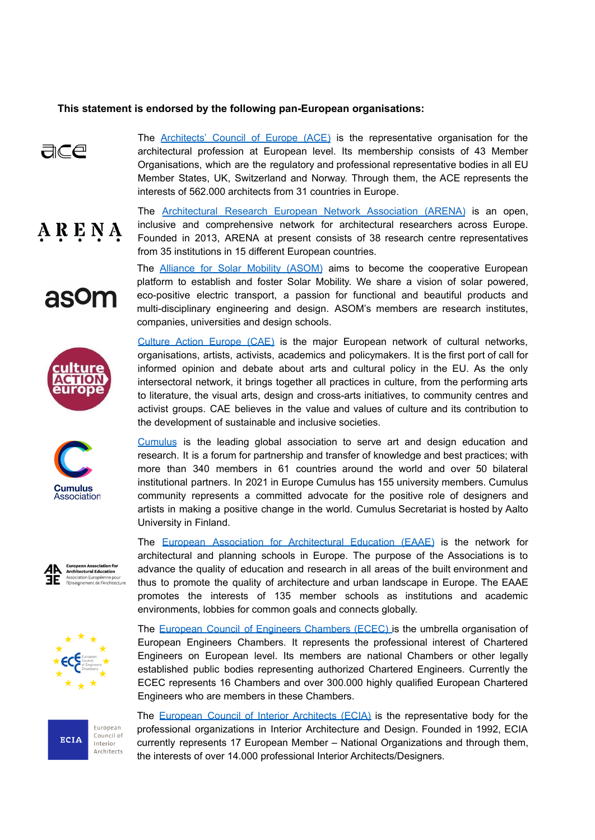## **This statement is endorsed by the following pan-European organisations:**

companies, universities and design schools.

the development of sustainable and inclusive societies.



The [Architects'](http://www.ace-cae.eu/) Council of Europe (ACE) is the representative organisation for the architectural profession at European level. Its membership consists of 43 Member Organisations, which are the regulatory and professional representative bodies in all EU Member States, UK, Switzerland and Norway. Through them, the ACE represents the interests of 562.000 architects from 31 countries in Europe.

The [Architectural](http://www.arena-architecture.eu/) Research European Network Association (ARENA) is an open, inclusive and comprehensive network for architectural researchers across Europe. Founded in 2013, ARENA at present consists of 38 research centre representatives from 35 institutions in 15 different European countries.

The Alliance for Solar Mobility [\(ASOM\)](http://asom.solar/) aims to become the cooperative European platform to establish and foster Solar Mobility. We share a vision of solar powered, eco-positive electric transport, a passion for functional and beautiful products and multi-disciplinary engineering and design. ASOM's members are research institutes,

asom

ARENA











Culture Action [Europe](https://cultureactioneurope.org/) (CAE) is the major European network of cultural networks, organisations, artists, activists, academics and policymakers. It is the first port of call for informed opinion and debate about arts and cultural policy in the EU. As the only intersectoral network, it brings together all practices in culture, from the performing arts to literature, the visual arts, design and cross-arts initiatives, to community centres and activist groups. CAE believes in the value and values of culture and its contribution to

[Cumulus](https://www.cumulusassociation.org/) is the leading global association to serve art and design education and research. It is a forum for partnership and transfer of knowledge and best practices; with more than 340 members in 61 countries around the world and over 50 bilateral institutional partners. In 2021 in Europe Cumulus has 155 university members. Cumulus community represents a committed advocate for the positive role of designers and artists in making a positive change in the world. Cumulus Secretariat is hosted by Aalto University in Finland.

The European Association for [Architectural](http://www.eaae.be/) Education (EAAE) is the network for architectural and planning schools in Europe. The purpose of the Associations is to advance the quality of education and research in all areas of the built environment and thus to promote the quality of architecture and urban landscape in Europe. The EAAE promotes the interests of 135 member schools as institutions and academic environments, lobbies for common goals and connects globally.

The European Council of Engineers [Chambers](https://www.ecec.net/) (ECEC) is the umbrella organisation of European Engineers Chambers. It represents the professional interest of Chartered Engineers on European level. Its members are national Chambers or other legally established public bodies representing authorized Chartered Engineers. Currently the ECEC represents 16 Chambers and over 300.000 highly qualified European Chartered Engineers who are members in these Chambers.

The European Council of Interior [Architects](https://ecia.net/) (ECIA) is the representative body for the professional organizations in Interior Architecture and Design. Founded in 1992, ECIA currently represents 17 European Member – National Organizations and through them, the interests of over 14.000 professional Interior Architects/Designers.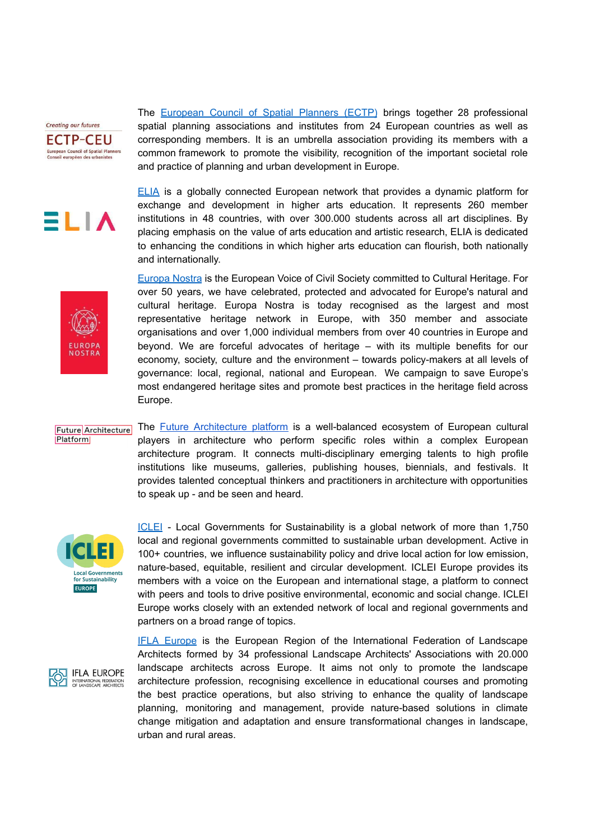**Creating our futures ECTP-CEU** European Council of Spatial Planners<br>Conseil européen des urbanistes





Platform

The [European](http://www.ectp-ceu.eu/index.php/en/) Council of Spatial Planners (ECTP) brings together 28 professional spatial planning associations and institutes from 24 European countries as well as corresponding members. It is an umbrella association providing its members with a common framework to promote the visibility, recognition of the important societal role and practice of planning and urban development in Europe.

[ELIA](https://elia-artschools.org/) is a globally connected European network that provides a dynamic platform for exchange and development in higher arts education. It represents 260 member institutions in 48 countries, with over 300.000 students across all art disciplines. By placing emphasis on the value of arts education and artistic research, ELIA is dedicated to enhancing the conditions in which higher arts education can flourish, both nationally and internationally.

[Europa](https://www.europanostra.org/) Nostra is the European Voice of Civil Society committed to Cultural Heritage. For over 50 years, we have celebrated, protected and advocated for Europe's natural and cultural heritage. Europa Nostra is today recognised as the largest and most representative heritage network in Europe, with 350 member and associate organisations and over 1,000 individual members from over 40 countries in Europe and beyond. We are forceful advocates of heritage – with its multiple benefits for our economy, society, culture and the environment – towards policy-makers at all levels of governance: local, regional, national and European. We campaign to save Europe's most endangered heritage sites and promote best practices in the heritage field across Europe.

The Future [Architecture](https://futurearchitectureplatform.org/) platform is a well-balanced ecosystem of European cultural Future Architecture players in architecture who perform specific roles within a complex European architecture program. It connects multi-disciplinary emerging talents to high profile institutions like museums, galleries, publishing houses, biennials, and festivals. It provides talented conceptual thinkers and practitioners in architecture with opportunities to speak up - and be seen and heard.



[ICLEI](https://iclei-europe.org/) - Local Governments for Sustainability is a global network of more than 1,750 local and regional governments committed to sustainable urban development. Active in 100+ countries, we influence sustainability policy and drive local action for low emission, nature-based, equitable, resilient and circular development. ICLEI Europe provides its members with a voice on the European and international stage, a platform to connect with peers and tools to drive positive environmental, economic and social change. ICLEI Europe works closely with an extended network of local and regional governments and partners on a broad range of topics.



IFLA [Europe](https://iflaeurope.eu/) is the European Region of the International Federation of Landscape Architects formed by 34 professional Landscape Architects' Associations with 20.000 landscape architects across Europe. It aims not only to promote the landscape architecture profession, recognising excellence in educational courses and promoting the best practice operations, but also striving to enhance the quality of landscape planning, monitoring and management, provide nature-based solutions in climate change mitigation and adaptation and ensure transformational changes in landscape, urban and rural areas.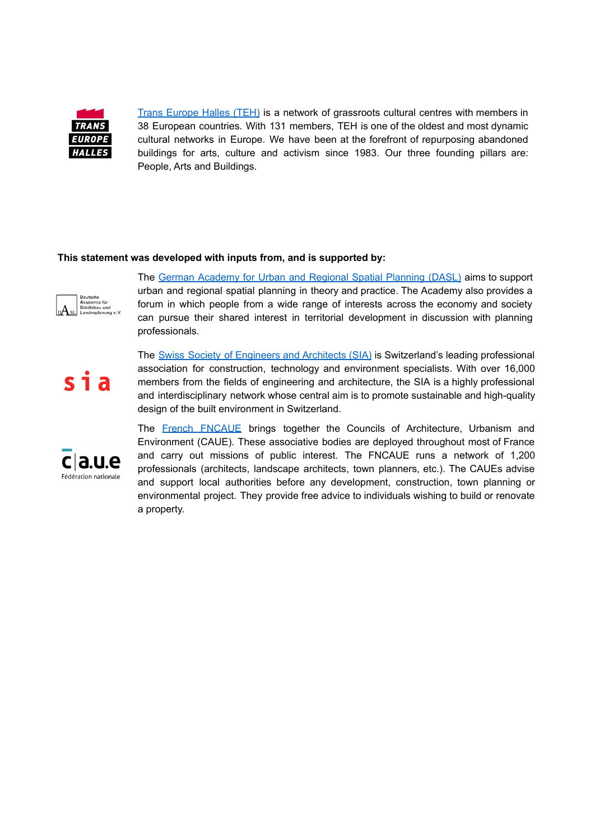

Trans [Europe](https://teh.net/) Halles (TEH) is a network of grassroots cultural centres with members in 38 European countries. With 131 members, TEH is one of the oldest and most dynamic cultural networks in Europe. We have been at the forefront of repurposing abandoned buildings for arts, culture and activism since 1983. Our three founding pillars are: People, Arts and Buildings.

#### **This statement was developed with inputs from, and is supported by:**



The German [Academy](http://dasl.de/the-academy.html) for Urban and Regional Spatial Planning (DASL) aims to support urban and regional spatial planning in theory and practice. The Academy also provides a forum in which people from a wide range of interests across the economy and society can pursue their shared interest in territorial development in discussion with planning professionals.



The Swiss Society of [Engineers](https://www.sia.ch/en/the-sia/) and Architects (SIA) is Switzerland's leading professional association for construction, technology and environment specialists. With over 16,000 members from the fields of engineering and architecture, the SIA is a highly professional and interdisciplinary network whose central aim is to promote sustainable and high-quality design of the built environment in Switzerland.



The French [FNCAUE](https://www.fncaue.com/) brings together the Councils of Architecture, Urbanism and Environment (CAUE). These associative bodies are deployed throughout most of France and carry out missions of public interest. The FNCAUE runs a network of 1,200 professionals (architects, landscape architects, town planners, etc.). The CAUEs advise and support local authorities before any development, construction, town planning or environmental project. They provide free advice to individuals wishing to build or renovate a property.